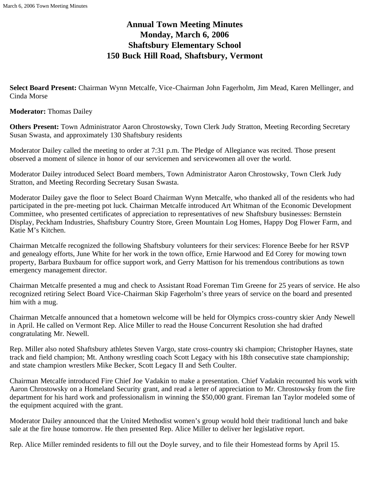# **Annual Town Meeting Minutes Monday, March 6, 2006 Shaftsbury Elementary School 150 Buck Hill Road, Shaftsbury, Vermont**

**Select Board Present:** Chairman Wynn Metcalfe, Vice-Chairman John Fagerholm, Jim Mead, Karen Mellinger, and Cinda Morse

#### **Moderator:** Thomas Dailey

**Others Present:** Town Administrator Aaron Chrostowsky, Town Clerk Judy Stratton, Meeting Recording Secretary Susan Swasta, and approximately 130 Shaftsbury residents

Moderator Dailey called the meeting to order at 7:31 p.m. The Pledge of Allegiance was recited. Those present observed a moment of silence in honor of our servicemen and servicewomen all over the world.

Moderator Dailey introduced Select Board members, Town Administrator Aaron Chrostowsky, Town Clerk Judy Stratton, and Meeting Recording Secretary Susan Swasta.

Moderator Dailey gave the floor to Select Board Chairman Wynn Metcalfe, who thanked all of the residents who had participated in the pre-meeting pot luck. Chairman Metcalfe introduced Art Whitman of the Economic Development Committee, who presented certificates of appreciation to representatives of new Shaftsbury businesses: Bernstein Display, Peckham Industries, Shaftsbury Country Store, Green Mountain Log Homes, Happy Dog Flower Farm, and Katie M's Kitchen.

Chairman Metcalfe recognized the following Shaftsbury volunteers for their services: Florence Beebe for her RSVP and genealogy efforts, June White for her work in the town office, Ernie Harwood and Ed Corey for mowing town property, Barbara Buxbaum for office support work, and Gerry Mattison for his tremendous contributions as town emergency management director.

Chairman Metcalfe presented a mug and check to Assistant Road Foreman Tim Greene for 25 years of service. He also recognized retiring Select Board Vice-Chairman Skip Fagerholm's three years of service on the board and presented him with a mug.

Chairman Metcalfe announced that a hometown welcome will be held for Olympics cross-country skier Andy Newell in April. He called on Vermont Rep. Alice Miller to read the House Concurrent Resolution she had drafted congratulating Mr. Newell.

Rep. Miller also noted Shaftsbury athletes Steven Vargo, state cross-country ski champion; Christopher Haynes, state track and field champion; Mt. Anthony wrestling coach Scott Legacy with his 18th consecutive state championship; and state champion wrestlers Mike Becker, Scott Legacy II and Seth Coulter.

Chairman Metcalfe introduced Fire Chief Joe Vadakin to make a presentation. Chief Vadakin recounted his work with Aaron Chrostowsky on a Homeland Security grant, and read a letter of appreciation to Mr. Chrostowsky from the fire department for his hard work and professionalism in winning the \$50,000 grant. Fireman Ian Taylor modeled some of the equipment acquired with the grant.

Moderator Dailey announced that the United Methodist women's group would hold their traditional lunch and bake sale at the fire house tomorrow. He then presented Rep. Alice Miller to deliver her legislative report.

Rep. Alice Miller reminded residents to fill out the Doyle survey, and to file their Homestead forms by April 15.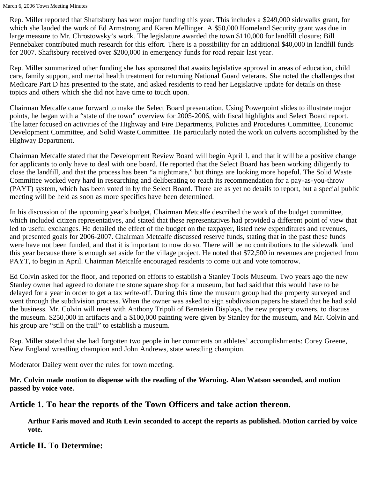Rep. Miller reported that Shaftsbury has won major funding this year. This includes a \$249,000 sidewalks grant, for which she lauded the work of Ed Armstrong and Karen Mellinger. A \$50,000 Homeland Security grant was due in large measure to Mr. Chrostowsky's work. The legislature awarded the town \$110,000 for landfill closure; Bill Pennebaker contributed much research for this effort. There is a possibility for an additional \$40,000 in landfill funds for 2007. Shaftsbury received over \$200,000 in emergency funds for road repair last year.

Rep. Miller summarized other funding she has sponsored that awaits legislative approval in areas of education, child care, family support, and mental health treatment for returning National Guard veterans. She noted the challenges that Medicare Part D has presented to the state, and asked residents to read her Legislative update for details on these topics and others which she did not have time to touch upon.

Chairman Metcalfe came forward to make the Select Board presentation. Using Powerpoint slides to illustrate major points, he began with a "state of the town" overview for 2005-2006, with fiscal highlights and Select Board report. The latter focused on activities of the Highway and Fire Departments, Policies and Procedures Committee, Economic Development Committee, and Solid Waste Committee. He particularly noted the work on culverts accomplished by the Highway Department.

Chairman Metcalfe stated that the Development Review Board will begin April 1, and that it will be a positive change for applicants to only have to deal with one board. He reported that the Select Board has been working diligently to close the landfill, and that the process has been "a nightmare," but things are looking more hopeful. The Solid Waste Committee worked very hard in researching and deliberating to reach its recommendation for a pay-as-you-throw (PAYT) system, which has been voted in by the Select Board. There are as yet no details to report, but a special public meeting will be held as soon as more specifics have been determined.

In his discussion of the upcoming year's budget, Chairman Metcalfe described the work of the budget committee, which included citizen representatives, and stated that these representatives had provided a different point of view that led to useful exchanges. He detailed the effect of the budget on the taxpayer, listed new expenditures and revenues, and presented goals for 2006-2007. Chairman Metcalfe discussed reserve funds, stating that in the past these funds were have not been funded, and that it is important to now do so. There will be no contributions to the sidewalk fund this year because there is enough set aside for the village project. He noted that \$72,500 in revenues are projected from PAYT, to begin in April. Chairman Metcalfe encouraged residents to come out and vote tomorrow.

Ed Colvin asked for the floor, and reported on efforts to establish a Stanley Tools Museum. Two years ago the new Stanley owner had agreed to donate the stone square shop for a museum, but had said that this would have to be delayed for a year in order to get a tax write-off. During this time the museum group had the property surveyed and went through the subdivision process. When the owner was asked to sign subdivision papers he stated that he had sold the business. Mr. Colvin will meet with Anthony Tripoli of Bernstein Displays, the new property owners, to discuss the museum. \$250,000 in artifacts and a \$100,000 painting were given by Stanley for the museum, and Mr. Colvin and his group are "still on the trail" to establish a museum.

Rep. Miller stated that she had forgotten two people in her comments on athletes' accomplishments: Corey Greene, New England wrestling champion and John Andrews, state wrestling champion.

Moderator Dailey went over the rules for town meeting.

**Mr. Colvin made motion to dispense with the reading of the Warning. Alan Watson seconded, and motion passed by voice vote.**

# **Article 1. To hear the reports of the Town Officers and take action thereon.**

**Arthur Faris moved and Ruth Levin seconded to accept the reports as published. Motion carried by voice vote.**

# **Article II. To Determine:**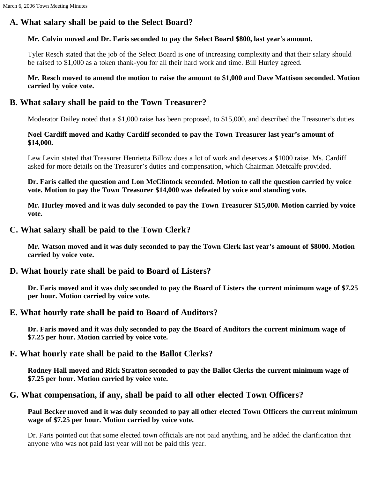# **A. What salary shall be paid to the Select Board?**

#### **Mr. Colvin moved and Dr. Faris seconded to pay the Select Board \$800, last year's amount.**

Tyler Resch stated that the job of the Select Board is one of increasing complexity and that their salary should be raised to \$1,000 as a token thank-you for all their hard work and time. Bill Hurley agreed.

#### **Mr. Resch moved to amend the motion to raise the amount to \$1,000 and Dave Mattison seconded. Motion carried by voice vote.**

# **B. What salary shall be paid to the Town Treasurer?**

Moderator Dailey noted that a \$1,000 raise has been proposed, to \$15,000, and described the Treasurer's duties.

#### **Noel Cardiff moved and Kathy Cardiff seconded to pay the Town Treasurer last year's amount of \$14,000.**

Lew Levin stated that Treasurer Henrietta Billow does a lot of work and deserves a \$1000 raise. Ms. Cardiff asked for more details on the Treasurer's duties and compensation, which Chairman Metcalfe provided.

**Dr. Faris called the question and Lon McClintock seconded. Motion to call the question carried by voice vote. Motion to pay the Town Treasurer \$14,000 was defeated by voice and standing vote.**

**Mr. Hurley moved and it was duly seconded to pay the Town Treasurer \$15,000. Motion carried by voice vote.**

## **C. What salary shall be paid to the Town Clerk?**

**Mr. Watson moved and it was duly seconded to pay the Town Clerk last year's amount of \$8000. Motion carried by voice vote.**

## **D. What hourly rate shall be paid to Board of Listers?**

**Dr. Faris moved and it was duly seconded to pay the Board of Listers the current minimum wage of \$7.25 per hour. Motion carried by voice vote.**

## **E. What hourly rate shall be paid to Board of Auditors?**

**Dr. Faris moved and it was duly seconded to pay the Board of Auditors the current minimum wage of \$7.25 per hour. Motion carried by voice vote.**

## **F. What hourly rate shall be paid to the Ballot Clerks?**

**Rodney Hall moved and Rick Stratton seconded to pay the Ballot Clerks the current minimum wage of \$7.25 per hour. Motion carried by voice vote.**

# **G. What compensation, if any, shall be paid to all other elected Town Officers?**

**Paul Becker moved and it was duly seconded to pay all other elected Town Officers the current minimum wage of \$7.25 per hour. Motion carried by voice vote.**

Dr. Faris pointed out that some elected town officials are not paid anything, and he added the clarification that anyone who was not paid last year will not be paid this year.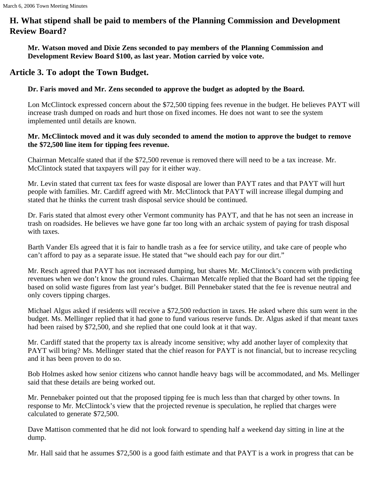# **H. What stipend shall be paid to members of the Planning Commission and Development Review Board?**

**Mr. Watson moved and Dixie Zens seconded to pay members of the Planning Commission and Development Review Board \$100, as last year. Motion carried by voice vote.**

# **Article 3. To adopt the Town Budget.**

## **Dr. Faris moved and Mr. Zens seconded to approve the budget as adopted by the Board.**

Lon McClintock expressed concern about the \$72,500 tipping fees revenue in the budget. He believes PAYT will increase trash dumped on roads and hurt those on fixed incomes. He does not want to see the system implemented until details are known.

#### **Mr. McClintock moved and it was duly seconded to amend the motion to approve the budget to remove the \$72,500 line item for tipping fees revenue.**

Chairman Metcalfe stated that if the \$72,500 revenue is removed there will need to be a tax increase. Mr. McClintock stated that taxpayers will pay for it either way.

Mr. Levin stated that current tax fees for waste disposal are lower than PAYT rates and that PAYT will hurt people with families. Mr. Cardiff agreed with Mr. McClintock that PAYT will increase illegal dumping and stated that he thinks the current trash disposal service should be continued.

Dr. Faris stated that almost every other Vermont community has PAYT, and that he has not seen an increase in trash on roadsides. He believes we have gone far too long with an archaic system of paying for trash disposal with taxes.

Barth Vander Els agreed that it is fair to handle trash as a fee for service utility, and take care of people who can't afford to pay as a separate issue. He stated that "we should each pay for our dirt."

Mr. Resch agreed that PAYT has not increased dumping, but shares Mr. McClintock's concern with predicting revenues when we don't know the ground rules. Chairman Metcalfe replied that the Board had set the tipping fee based on solid waste figures from last year's budget. Bill Pennebaker stated that the fee is revenue neutral and only covers tipping charges.

Michael Algus asked if residents will receive a \$72,500 reduction in taxes. He asked where this sum went in the budget. Ms. Mellinger replied that it had gone to fund various reserve funds. Dr. Algus asked if that meant taxes had been raised by \$72,500, and she replied that one could look at it that way.

Mr. Cardiff stated that the property tax is already income sensitive; why add another layer of complexity that PAYT will bring? Ms. Mellinger stated that the chief reason for PAYT is not financial, but to increase recycling and it has been proven to do so.

Bob Holmes asked how senior citizens who cannot handle heavy bags will be accommodated, and Ms. Mellinger said that these details are being worked out.

Mr. Pennebaker pointed out that the proposed tipping fee is much less than that charged by other towns. In response to Mr. McClintock's view that the projected revenue is speculation, he replied that charges were calculated to generate \$72,500.

Dave Mattison commented that he did not look forward to spending half a weekend day sitting in line at the dump.

Mr. Hall said that he assumes \$72,500 is a good faith estimate and that PAYT is a work in progress that can be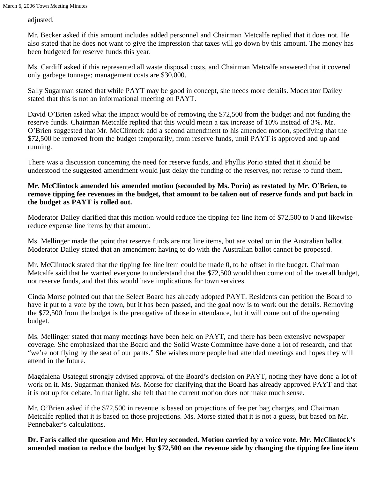adjusted.

Mr. Becker asked if this amount includes added personnel and Chairman Metcalfe replied that it does not. He also stated that he does not want to give the impression that taxes will go down by this amount. The money has been budgeted for reserve funds this year.

Ms. Cardiff asked if this represented all waste disposal costs, and Chairman Metcalfe answered that it covered only garbage tonnage; management costs are \$30,000.

Sally Sugarman stated that while PAYT may be good in concept, she needs more details. Moderator Dailey stated that this is not an informational meeting on PAYT.

David O'Brien asked what the impact would be of removing the \$72,500 from the budget and not funding the reserve funds. Chairman Metcalfe replied that this would mean a tax increase of 10% instead of 3%. Mr. O'Brien suggested that Mr. McClintock add a second amendment to his amended motion, specifying that the \$72,500 be removed from the budget temporarily, from reserve funds, until PAYT is approved and up and running.

There was a discussion concerning the need for reserve funds, and Phyllis Porio stated that it should be understood the suggested amendment would just delay the funding of the reserves, not refuse to fund them.

#### **Mr. McClintock amended his amended motion (seconded by Ms. Porio) as restated by Mr. O'Brien, to remove tipping fee revenues in the budget, that amount to be taken out of reserve funds and put back in the budget as PAYT is rolled out.**

Moderator Dailey clarified that this motion would reduce the tipping fee line item of \$72,500 to 0 and likewise reduce expense line items by that amount.

Ms. Mellinger made the point that reserve funds are not line items, but are voted on in the Australian ballot. Moderator Dailey stated that an amendment having to do with the Australian ballot cannot be proposed.

Mr. McClintock stated that the tipping fee line item could be made 0, to be offset in the budget. Chairman Metcalfe said that he wanted everyone to understand that the \$72,500 would then come out of the overall budget, not reserve funds, and that this would have implications for town services.

Cinda Morse pointed out that the Select Board has already adopted PAYT. Residents can petition the Board to have it put to a vote by the town, but it has been passed, and the goal now is to work out the details. Removing the \$72,500 from the budget is the prerogative of those in attendance, but it will come out of the operating budget.

Ms. Mellinger stated that many meetings have been held on PAYT, and there has been extensive newspaper coverage. She emphasized that the Board and the Solid Waste Committee have done a lot of research, and that "we're not flying by the seat of our pants." She wishes more people had attended meetings and hopes they will attend in the future.

Magdalena Usategui strongly advised approval of the Board's decision on PAYT, noting they have done a lot of work on it. Ms. Sugarman thanked Ms. Morse for clarifying that the Board has already approved PAYT and that it is not up for debate. In that light, she felt that the current motion does not make much sense.

Mr. O'Brien asked if the \$72,500 in revenue is based on projections of fee per bag charges, and Chairman Metcalfe replied that it is based on those projections. Ms. Morse stated that it is not a guess, but based on Mr. Pennebaker's calculations.

**Dr. Faris called the question and Mr. Hurley seconded. Motion carried by a voice vote. Mr. McClintock's amended motion to reduce the budget by \$72,500 on the revenue side by changing the tipping fee line item**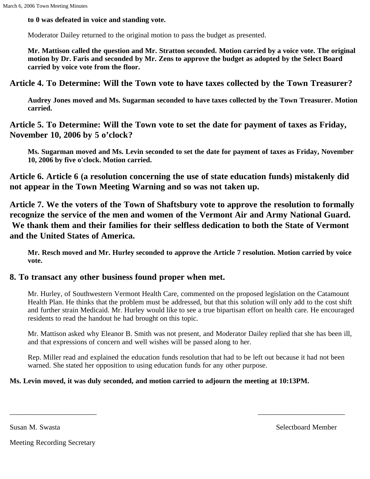**to 0 was defeated in voice and standing vote.**

Moderator Dailey returned to the original motion to pass the budget as presented.

**Mr. Mattison called the question and Mr. Stratton seconded. Motion carried by a voice vote. The original motion by Dr. Faris and seconded by Mr. Zens to approve the budget as adopted by the Select Board carried by voice vote from the floor.**

**Article 4. To Determine: Will the Town vote to have taxes collected by the Town Treasurer?**

**Audrey Jones moved and Ms. Sugarman seconded to have taxes collected by the Town Treasurer. Motion carried.**

**Article 5. To Determine: Will the Town vote to set the date for payment of taxes as Friday, November 10, 2006 by 5 o'clock?**

**Ms. Sugarman moved and Ms. Levin seconded to set the date for payment of taxes as Friday, November 10, 2006 by five o'clock. Motion carried.**

**Article 6. Article 6 (a resolution concerning the use of state education funds) mistakenly did not appear in the Town Meeting Warning and so was not taken up.**

**Article 7. We the voters of the Town of Shaftsbury vote to approve the resolution to formally recognize the service of the men and women of the Vermont Air and Army National Guard. We thank them and their families for their selfless dedication to both the State of Vermont and the United States of America.**

**Mr. Resch moved and Mr. Hurley seconded to approve the Article 7 resolution. Motion carried by voice vote.**

# **8. To transact any other business found proper when met.**

Mr. Hurley, of Southwestern Vermont Health Care, commented on the proposed legislation on the Catamount Health Plan. He thinks that the problem must be addressed, but that this solution will only add to the cost shift and further strain Medicaid. Mr. Hurley would like to see a true bipartisan effort on health care. He encouraged residents to read the handout he had brought on this topic.

Mr. Mattison asked why Eleanor B. Smith was not present, and Moderator Dailey replied that she has been ill, and that expressions of concern and well wishes will be passed along to her.

Rep. Miller read and explained the education funds resolution that had to be left out because it had not been warned. She stated her opposition to using education funds for any other purpose.

\_\_\_\_\_\_\_\_\_\_\_\_\_\_\_\_\_\_\_\_\_\_\_\_ \_\_\_\_\_\_\_\_\_\_\_\_\_\_\_\_\_\_\_\_\_\_\_\_

## **Ms. Levin moved, it was duly seconded, and motion carried to adjourn the meeting at 10:13PM.**

Susan M. Swasta Selectboard Member

Meeting Recording Secretary